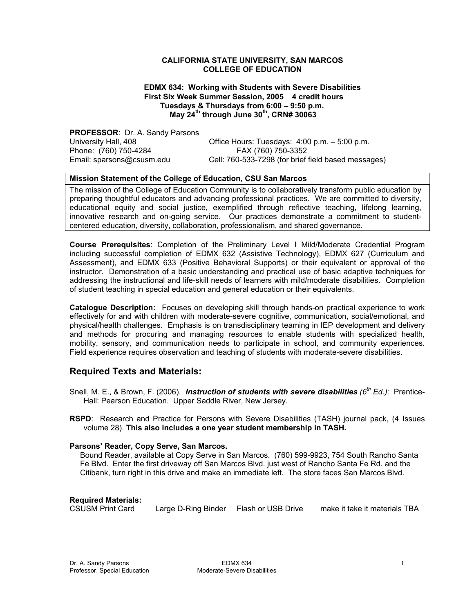#### **CALIFORNIA STATE UNIVERSITY, SAN MARCOS COLLEGE OF EDUCATION**

#### **EDMX 634: Working with Students with Severe Disabilities First Six Week Summer Session, 2005 4 credit hours Tuesdays & Thursdays from 6:00 – 9:50 p.m. May 24th through June 30th, CRN# 30063**

**PROFESSOR**: Dr. A. Sandy Parsons Phone: (760) 750-4284 FAX (760) 750-3352

University Hall, 408 Office Hours: Tuesdays: 4:00 p.m. – 5:00 p.m. Email: sparsons@csusm.edu Cell: 760-533-7298 (for brief field based messages)

## **Mission Statement of the College of Education, CSU San Marcos**

The mission of the College of Education Community is to collaboratively transform public education by preparing thoughtful educators and advancing professional practices. We are committed to diversity, educational equity and social justice, exemplified through reflective teaching, lifelong learning, innovative research and on-going service. Our practices demonstrate a commitment to studentcentered education, diversity, collaboration, professionalism, and shared governance.

**Course Prerequisites**: Completion of the Preliminary Level I Mild/Moderate Credential Program including successful completion of EDMX 632 (Assistive Technology), EDMX 627 (Curriculum and Assessment), and EDMX 633 (Positive Behavioral Supports) or their equivalent or approval of the instructor. Demonstration of a basic understanding and practical use of basic adaptive techniques for addressing the instructional and life-skill needs of learners with mild/moderate disabilities. Completion of student teaching in special education and general education or their equivalents.

**Catalogue Description:** Focuses on developing skill through hands-on practical experience to work effectively for and with children with moderate-severe cognitive, communication, social/emotional, and physical/health challenges. Emphasis is on transdisciplinary teaming in IEP development and delivery and methods for procuring and managing resources to enable students with specialized health, mobility, sensory, and communication needs to participate in school, and community experiences. Field experience requires observation and teaching of students with moderate-severe disabilities.

## **Required Texts and Materials:**

- Snell, M. E., & Brown, F. (2006). *Instruction of students with severe disabilities (6th Ed.):* Prentice-Hall: Pearson Education. Upper Saddle River, New Jersey.
- **RSPD**: Research and Practice for Persons with Severe Disabilities (TASH) journal pack, (4 Issues volume 28). **This also includes a one year student membership in TASH.**

#### **Parsons' Reader, Copy Serve, San Marcos.**

Bound Reader, available at Copy Serve in San Marcos. (760) 599-9923, 754 South Rancho Santa Fe Blvd. Enter the first driveway off San Marcos Blvd. just west of Rancho Santa Fe Rd. and the Citibank, turn right in this drive and make an immediate left. The store faces San Marcos Blvd.

**Required Materials:** 

CSUSM Print Card Large D-Ring Binder Flash or USB Drive make it take it materials TBA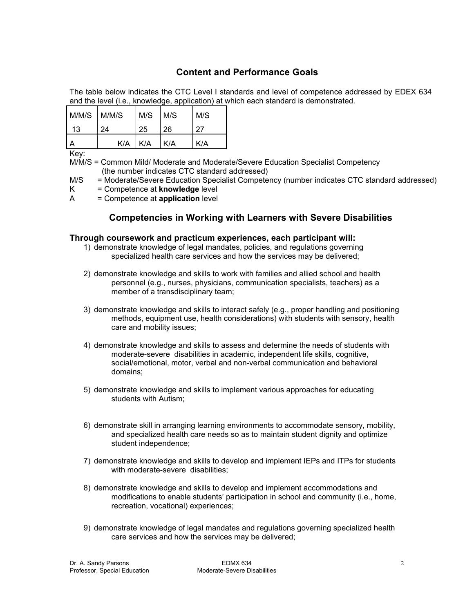# **Content and Performance Goals**

The table below indicates the CTC Level I standards and level of competence addressed by EDEX 634 and the level (i.e., knowledge, application) at which each standard is demonstrated.

| M/M/S M/M/S |     | M/S M/S |     | M/S |
|-------------|-----|---------|-----|-----|
| 13          | 24  | 25      | 26  | 27  |
|             | K/A | K/A     | K/A | K/A |

Key:

M/M/S = Common Mild/ Moderate and Moderate/Severe Education Specialist Competency (the number indicates CTC standard addressed)

M/S = Moderate/Severe Education Specialist Competency (number indicates CTC standard addressed)

- K = Competence at **knowledge** level
- A = Competence at **application** level

# **Competencies in Working with Learners with Severe Disabilities**

## **Through coursework and practicum experiences, each participant will:**

- 1) demonstrate knowledge of legal mandates, policies, and regulations governing specialized health care services and how the services may be delivered;
- 2) demonstrate knowledge and skills to work with families and allied school and health personnel (e.g., nurses, physicians, communication specialists, teachers) as a member of a transdisciplinary team;
- 3) demonstrate knowledge and skills to interact safely (e.g., proper handling and positioning methods, equipment use, health considerations) with students with sensory, health care and mobility issues;
- 4) demonstrate knowledge and skills to assess and determine the needs of students with moderate-severe disabilities in academic, independent life skills, cognitive, social/emotional, motor, verbal and non-verbal communication and behavioral domains;
- 5) demonstrate knowledge and skills to implement various approaches for educating students with Autism;
- 6) demonstrate skill in arranging learning environments to accommodate sensory, mobility, and specialized health care needs so as to maintain student dignity and optimize student independence;
- 7) demonstrate knowledge and skills to develop and implement IEPs and ITPs for students with moderate-severe disabilities:
- 8) demonstrate knowledge and skills to develop and implement accommodations and modifications to enable students' participation in school and community (i.e., home, recreation, vocational) experiences;
- 9) demonstrate knowledge of legal mandates and regulations governing specialized health care services and how the services may be delivered;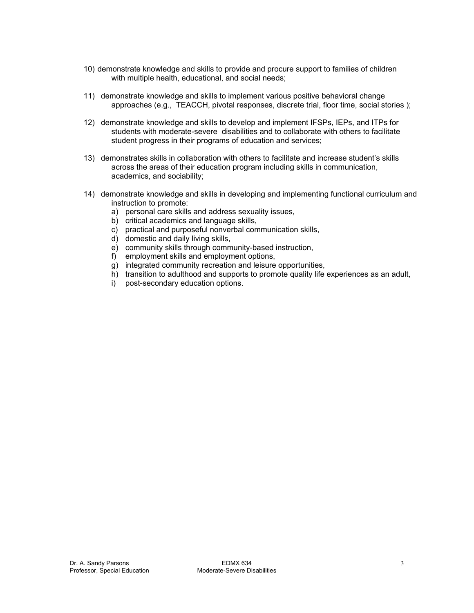- 10) demonstrate knowledge and skills to provide and procure support to families of children with multiple health, educational, and social needs;
- 11) demonstrate knowledge and skills to implement various positive behavioral change approaches (e.g., TEACCH, pivotal responses, discrete trial, floor time, social stories );
- 12) demonstrate knowledge and skills to develop and implement IFSPs, IEPs, and ITPs for students with moderate-severe disabilities and to collaborate with others to facilitate student progress in their programs of education and services;
- 13) demonstrates skills in collaboration with others to facilitate and increase student's skills across the areas of their education program including skills in communication, academics, and sociability;
- 14) demonstrate knowledge and skills in developing and implementing functional curriculum and instruction to promote:
	- a) personal care skills and address sexuality issues,
	- b) critical academics and language skills,
	- c) practical and purposeful nonverbal communication skills,
	- d) domestic and daily living skills,
	- e) community skills through community-based instruction,
	- f) employment skills and employment options,
	- g) integrated community recreation and leisure opportunities,
	- h) transition to adulthood and supports to promote quality life experiences as an adult,
	- i) post-secondary education options.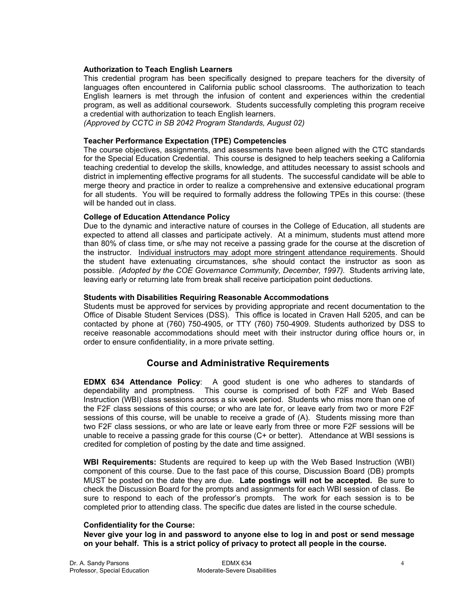#### **Authorization to Teach English Learners**

This credential program has been specifically designed to prepare teachers for the diversity of languages often encountered in California public school classrooms. The authorization to teach English learners is met through the infusion of content and experiences within the credential program, as well as additional coursework. Students successfully completing this program receive a credential with authorization to teach English learners.

*(Approved by CCTC in SB 2042 Program Standards, August 02)*

## **Teacher Performance Expectation (TPE) Competencies**

The course objectives, assignments, and assessments have been aligned with the CTC standards for the Special Education Credential. This course is designed to help teachers seeking a California teaching credential to develop the skills, knowledge, and attitudes necessary to assist schools and district in implementing effective programs for all students. The successful candidate will be able to merge theory and practice in order to realize a comprehensive and extensive educational program for all students. You will be required to formally address the following TPEs in this course: (these will be handed out in class.

## **College of Education Attendance Policy**

Due to the dynamic and interactive nature of courses in the College of Education, all students are expected to attend all classes and participate actively. At a minimum, students must attend more than 80% of class time, or s/he may not receive a passing grade for the course at the discretion of the instructor. Individual instructors may adopt more stringent attendance requirements. Should the student have extenuating circumstances, s/he should contact the instructor as soon as possible. *(Adopted by the COE Governance Community, December, 1997).* Students arriving late, leaving early or returning late from break shall receive participation point deductions.

## **Students with Disabilities Requiring Reasonable Accommodations**

Students must be approved for services by providing appropriate and recent documentation to the Office of Disable Student Services (DSS). This office is located in Craven Hall 5205, and can be contacted by phone at (760) 750-4905, or TTY (760) 750-4909. Students authorized by DSS to receive reasonable accommodations should meet with their instructor during office hours or, in order to ensure confidentiality, in a more private setting.

## **Course and Administrative Requirements**

**EDMX 634 Attendance Policy**: A good student is one who adheres to standards of dependability and promptness. This course is comprised of both F2F and Web Based Instruction (WBI) class sessions across a six week period. Students who miss more than one of the F2F class sessions of this course; or who are late for, or leave early from two or more F2F sessions of this course, will be unable to receive a grade of (A). Students missing more than two F2F class sessions, or who are late or leave early from three or more F2F sessions will be unable to receive a passing grade for this course (C+ or better). Attendance at WBI sessions is credited for completion of posting by the date and time assigned.

**WBI Requirements:** Students are required to keep up with the Web Based Instruction (WBI) component of this course. Due to the fast pace of this course, Discussion Board (DB) prompts MUST be posted on the date they are due. **Late postings will not be accepted.** Be sure to check the Discussion Board for the prompts and assignments for each WBI session of class. Be sure to respond to each of the professor's prompts. The work for each session is to be completed prior to attending class. The specific due dates are listed in the course schedule.

#### **Confidentiality for the Course:**

**Never give your log in and password to anyone else to log in and post or send message on your behalf. This is a strict policy of privacy to protect all people in the course.**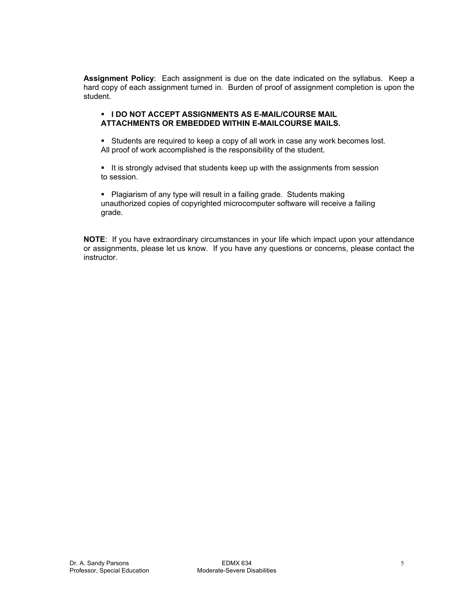**Assignment Policy**: Each assignment is due on the date indicated on the syllabus. Keep a hard copy of each assignment turned in. Burden of proof of assignment completion is upon the student.

## **I I DO NOT ACCEPT ASSIGNMENTS AS E-MAIL/COURSE MAIL ATTACHMENTS OR EMBEDDED WITHIN E-MAILCOURSE MAILS.**

**Students are required to keep a copy of all work in case any work becomes lost.** All proof of work accomplished is the responsibility of the student.

It is strongly advised that students keep up with the assignments from session to session.

• Plagiarism of any type will result in a failing grade. Students making unauthorized copies of copyrighted microcomputer software will receive a failing grade.

**NOTE**: If you have extraordinary circumstances in your life which impact upon your attendance or assignments, please let us know. If you have any questions or concerns, please contact the instructor.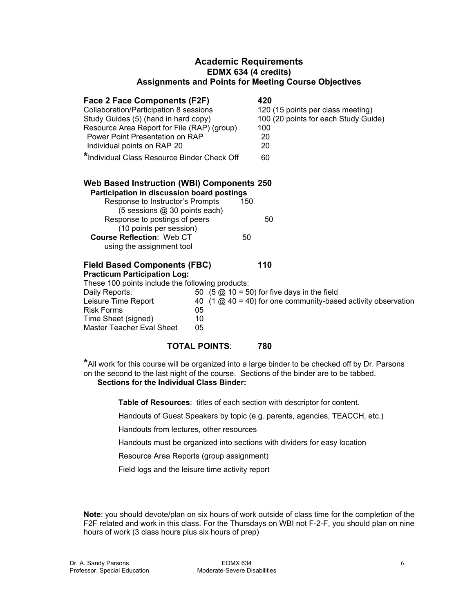## **Academic Requirements EDMX 634 (4 credits) Assignments and Points for Meeting Course Objectives**

| Face 2 Face Components (F2F)<br>Collaboration/Participation 8 sessions<br>Study Guides (5) (hand in hard copy)<br>Resource Area Report for File (RAP) (group)<br>Power Point Presentation on RAP<br>Individual points on RAP 20<br>*Individual Class Resource Binder Check Off             |                      | 420<br>120 (15 points per class meeting)<br>100 (20 points for each Study Guide)<br>100<br>20<br>20<br>60                                               |
|--------------------------------------------------------------------------------------------------------------------------------------------------------------------------------------------------------------------------------------------------------------------------------------------|----------------------|---------------------------------------------------------------------------------------------------------------------------------------------------------|
| Web Based Instruction (WBI) Components 250<br>Participation in discussion board postings<br>Response to Instructor's Prompts<br>(5 sessions @ 30 points each)<br>Response to postings of peers<br>(10 points per session)<br><b>Course Reflection: Web CT</b><br>using the assignment tool | 150<br>50            | 50                                                                                                                                                      |
| <b>Field Based Components (FBC)</b><br><b>Practicum Participation Log:</b><br>These 100 points include the following products:<br>Daily Reports:<br>Leisure Time Report<br><b>Risk Forms</b><br>Time Sheet (signed)<br>Master Teacher Eval Sheet                                           | 05<br>10<br>05       | 110<br>50 $(5 \text{ } \textcircled{2} 10 = 50)$ for five days in the field<br>40 $(1 \text{ @ } 40 = 40)$ for one community-based activity observation |
|                                                                                                                                                                                                                                                                                            | <b>TOTAL POINTS:</b> | 780                                                                                                                                                     |

**\***All work for this course will be organized into a large binder to be checked off by Dr. Parsons on the second to the last night of the course. Sections of the binder are to be tabbed. **Sections for the Individual Class Binder:** 

**Table of Resources**: titles of each section with descriptor for content.

Handouts of Guest Speakers by topic (e.g. parents, agencies, TEACCH, etc.)

Handouts from lectures, other resources

Handouts must be organized into sections with dividers for easy location

Resource Area Reports (group assignment)

Field logs and the leisure time activity report

**Note**: you should devote/plan on six hours of work outside of class time for the completion of the F2F related and work in this class. For the Thursdays on WBI not F-2-F, you should plan on nine hours of work (3 class hours plus six hours of prep)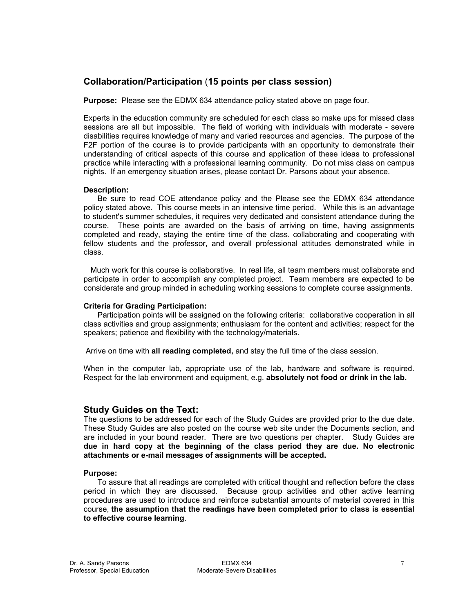# **Collaboration/Participation** (**15 points per class session)**

**Purpose:** Please see the EDMX 634 attendance policy stated above on page four.

Experts in the education community are scheduled for each class so make ups for missed class sessions are all but impossible. The field of working with individuals with moderate - severe disabilities requires knowledge of many and varied resources and agencies. The purpose of the F2F portion of the course is to provide participants with an opportunity to demonstrate their understanding of critical aspects of this course and application of these ideas to professional practice while interacting with a professional learning community. Do not miss class on campus nights. If an emergency situation arises, please contact Dr. Parsons about your absence.

## **Description:**

 Be sure to read COE attendance policy and the Please see the EDMX 634 attendance policy stated above. This course meets in an intensive time period. While this is an advantage to student's summer schedules, it requires very dedicated and consistent attendance during the course. These points are awarded on the basis of arriving on time, having assignments completed and ready, staying the entire time of the class. collaborating and cooperating with fellow students and the professor, and overall professional attitudes demonstrated while in class.

 Much work for this course is collaborative. In real life, all team members must collaborate and participate in order to accomplish any completed project. Team members are expected to be considerate and group minded in scheduling working sessions to complete course assignments.

## **Criteria for Grading Participation:**

 Participation points will be assigned on the following criteria: collaborative cooperation in all class activities and group assignments; enthusiasm for the content and activities; respect for the speakers; patience and flexibility with the technology/materials.

Arrive on time with **all reading completed,** and stay the full time of the class session.

When in the computer lab, appropriate use of the lab, hardware and software is required. Respect for the lab environment and equipment, e.g. **absolutely not food or drink in the lab.**

## **Study Guides on the Text:**

The questions to be addressed for each of the Study Guides are provided prior to the due date. These Study Guides are also posted on the course web site under the Documents section, and are included in your bound reader. There are two questions per chapter. Study Guides are **due in hard copy at the beginning of the class period they are due. No electronic attachments or e-mail messages of assignments will be accepted.** 

#### **Purpose:**

 To assure that all readings are completed with critical thought and reflection before the class period in which they are discussed. Because group activities and other active learning procedures are used to introduce and reinforce substantial amounts of material covered in this course, **the assumption that the readings have been completed prior to class is essential to effective course learning**.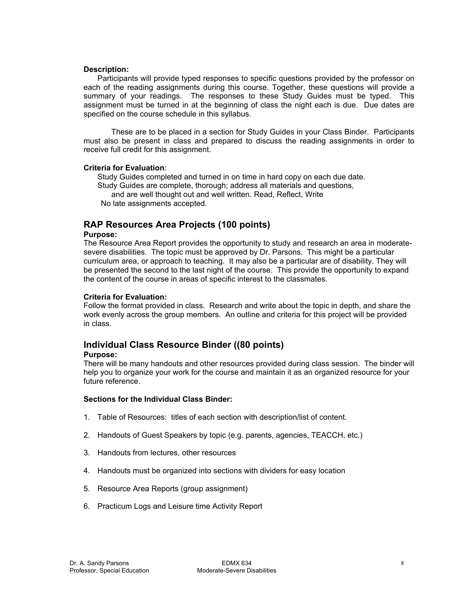#### **Description:**

Participants will provide typed responses to specific questions provided by the professor on each of the reading assignments during this course. Together, these questions will provide a summary of your readings. The responses to these Study Guides must be typed. This assignment must be turned in at the beginning of class the night each is due. Due dates are specified on the course schedule in this syllabus.

These are to be placed in a section for Study Guides in your Class Binder. Participants must also be present in class and prepared to discuss the reading assignments in order to receive full credit for this assignment.

#### **Criteria for Evaluation**:

 Study Guides completed and turned in on time in hard copy on each due date. Study Guides are complete, thorough; address all materials and questions, and are well thought out and well written. Read, Reflect, Write No late assignments accepted.

## **RAP Resources Area Projects (100 points)**

#### **Purpose:**

The Resource Area Report provides the opportunity to study and research an area in moderatesevere disabilities. The topic must be approved by Dr. Parsons. This might be a particular curriculum area, or approach to teaching. It may also be a particular are of disability. They will be presented the second to the last night of the course. This provide the opportunity to expand the content of the course in areas of specific interest to the classmates.

#### **Criteria for Evaluation:**

Follow the format provided in class. Research and write about the topic in depth, and share the work evenly across the group members. An outline and criteria for this project will be provided in class.

# **Individual Class Resource Binder ((80 points)**

#### **Purpose:**

There will be many handouts and other resources provided during class session. The binder will help you to organize your work for the course and maintain it as an organized resource for your future reference.

#### **Sections for the Individual Class Binder:**

- 1. Table of Resources: titles of each section with description/list of content.
- 2. Handouts of Guest Speakers by topic (e.g. parents, agencies, TEACCH, etc.)
- 3. Handouts from lectures, other resources
- 4. Handouts must be organized into sections with dividers for easy location
- 5. Resource Area Reports (group assignment)
- 6. Practicum Logs and Leisure time Activity Report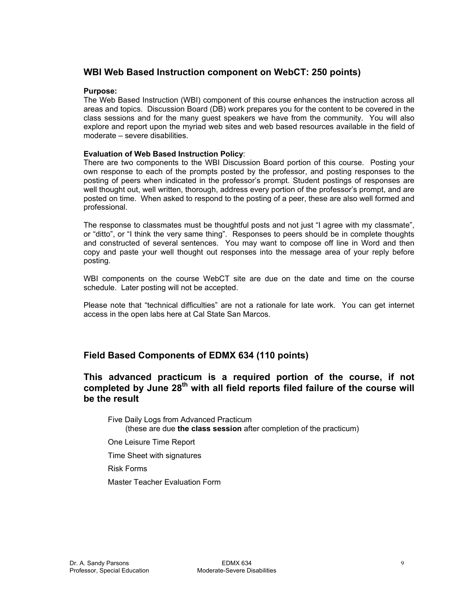# **WBI Web Based Instruction component on WebCT: 250 points)**

## **Purpose:**

The Web Based Instruction (WBI) component of this course enhances the instruction across all areas and topics. Discussion Board (DB) work prepares you for the content to be covered in the class sessions and for the many guest speakers we have from the community. You will also explore and report upon the myriad web sites and web based resources available in the field of moderate – severe disabilities.

## **Evaluation of Web Based Instruction Policy**:

There are two components to the WBI Discussion Board portion of this course. Posting your own response to each of the prompts posted by the professor, and posting responses to the posting of peers when indicated in the professor's prompt. Student postings of responses are well thought out, well written, thorough, address every portion of the professor's prompt, and are posted on time. When asked to respond to the posting of a peer, these are also well formed and professional.

The response to classmates must be thoughtful posts and not just "I agree with my classmate", or "ditto", or "I think the very same thing". Responses to peers should be in complete thoughts and constructed of several sentences. You may want to compose off line in Word and then copy and paste your well thought out responses into the message area of your reply before posting.

WBI components on the course WebCT site are due on the date and time on the course schedule. Later posting will not be accepted.

Please note that "technical difficulties" are not a rationale for late work. You can get internet access in the open labs here at Cal State San Marcos.

# **Field Based Components of EDMX 634 (110 points)**

**This advanced practicum is a required portion of the course, if not completed by June 28th with all field reports filed failure of the course will be the result** 

Five Daily Logs from Advanced Practicum (these are due **the class session** after completion of the practicum)

One Leisure Time Report

Time Sheet with signatures

Risk Forms

Master Teacher Evaluation Form